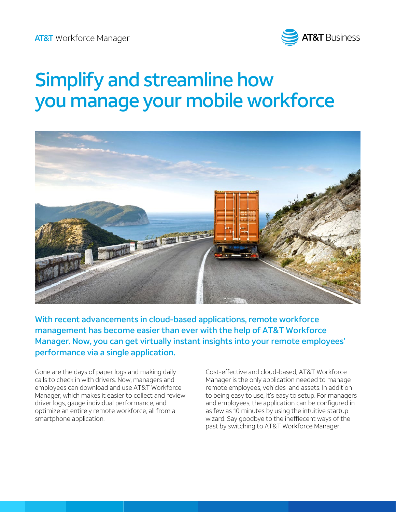

# Simplify and streamline how you manage your mobile workforce



With recent advancements in cloud-based applications, remote workforce management has become easier than ever with the help of AT&T Workforce Manager. Now, you can get virtually instant insights into your remote employees' performance via a single application.

Gone are the days of paper logs and making daily calls to check in with drivers. Now, managers and employees can download and use AT&T Workforce Manager, which makes it easier to collect and review driver logs, gauge individual performance, and optimize an entirely remote workforce, all from a smartphone application.

Cost-effective and cloud-based, AT&T Workforce Manager is the only application needed to manage remote employees, vehicles and assets. In addition to being easy to use, it's easy to setup. For managers and employees, the application can be configured in as few as 10 minutes by using the intuitive startup wizard. Say goodbye to the ineffiecent ways of the past by switching to AT&T Workforce Manager.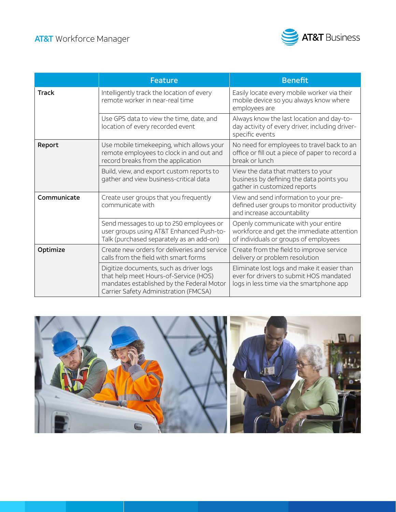

|              | <b>Feature</b>                                                                                                                                                         | <b>Benefit</b>                                                                                                                     |
|--------------|------------------------------------------------------------------------------------------------------------------------------------------------------------------------|------------------------------------------------------------------------------------------------------------------------------------|
| <b>Track</b> | Intelligently track the location of every<br>remote worker in near-real time                                                                                           | Easily locate every mobile worker via their<br>mobile device so you always know where<br>employees are                             |
|              | Use GPS data to view the time, date, and<br>location of every recorded event                                                                                           | Always know the last location and day-to-<br>day activity of every driver, including driver-<br>specific events                    |
| Report       | Use mobile timekeeping, which allows your<br>remote employees to clock in and out and<br>record breaks from the application                                            | No need for employees to travel back to an<br>office or fill out a piece of paper to record a<br>break or lunch                    |
|              | Build, view, and export custom reports to<br>gather and view business-critical data                                                                                    | View the data that matters to your<br>business by defining the data points you<br>gather in customized reports                     |
| Communicate  | Create user groups that you frequently<br>communicate with                                                                                                             | View and send information to your pre-<br>defined user groups to monitor productivity<br>and increase accountability               |
|              | Send messages to up to 250 employees or<br>user groups using AT&T Enhanced Push-to-<br>Talk (purchased separately as an add-on)                                        | Openly communicate with your entire<br>workforce and get the immediate attention<br>of individuals or groups of employees          |
| Optimize     | Create new orders for deliveries and service<br>calls from the field with smart forms                                                                                  | Create from the field to improve service<br>delivery or problem resolution                                                         |
|              | Digitize documents, such as driver logs<br>that help meet Hours-of-Service (HOS)<br>mandates established by the Federal Motor<br>Carrier Safety Administration (FMCSA) | Eliminate lost logs and make it easier than<br>ever for drivers to submit HOS mandated<br>logs in less time via the smartphone app |